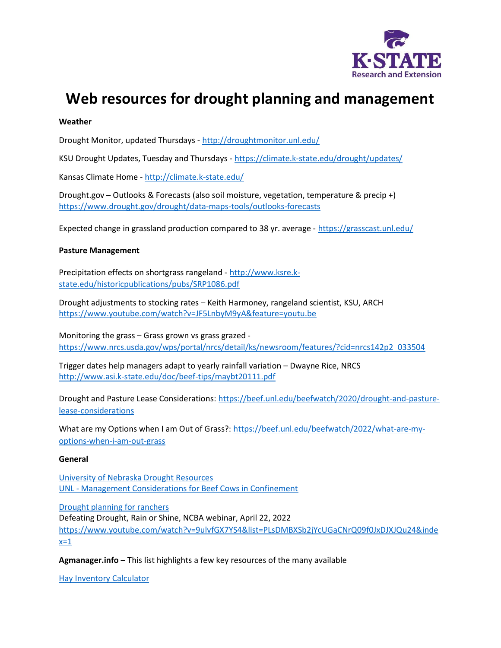

# Web resources for drought planning and management

### Weather

Drought Monitor, updated Thursdays - http://droughtmonitor.unl.edu/

KSU Drought Updates, Tuesday and Thursdays - https://climate.k-state.edu/drought/updates/

Kansas Climate Home - http://climate.k-state.edu/

Drought.gov – Outlooks & Forecasts (also soil moisture, vegetation, temperature & precip +) https://www.drought.gov/drought/data-maps-tools/outlooks-forecasts

Expected change in grassland production compared to 38 yr. average - https://grasscast.unl.edu/

#### Pasture Management

Precipitation effects on shortgrass rangeland - http://www.ksre.kstate.edu/historicpublications/pubs/SRP1086.pdf

Drought adjustments to stocking rates – Keith Harmoney, rangeland scientist, KSU, ARCH https://www.youtube.com/watch?v=JF5LnbyM9yA&feature=youtu.be

Monitoring the grass – Grass grown vs grass grazed https://www.nrcs.usda.gov/wps/portal/nrcs/detail/ks/newsroom/features/?cid=nrcs142p2\_033504

Trigger dates help managers adapt to yearly rainfall variation – Dwayne Rice, NRCS http://www.asi.k-state.edu/doc/beef-tips/maybt20111.pdf

Drought and Pasture Lease Considerations: https://beef.unl.edu/beefwatch/2020/drought-and-pasturelease-considerations

What are my Options when I am Out of Grass?: https://beef.unl.edu/beefwatch/2022/what-are-myoptions-when-i-am-out-grass

#### General

University of Nebraska Drought Resources UNL - Management Considerations for Beef Cows in Confinement

Drought planning for ranchers Defeating Drought, Rain or Shine, NCBA webinar, April 22, 2022 https://www.youtube.com/watch?v=9ulvfGX7YS4&list=PLsDMBXSb2jYcUGaCNrQ09f0JxDJXJQu24&inde  $x=1$ 

Agmanager. info - This list highlights a few key resources of the many available

Hay Inventory Calculator